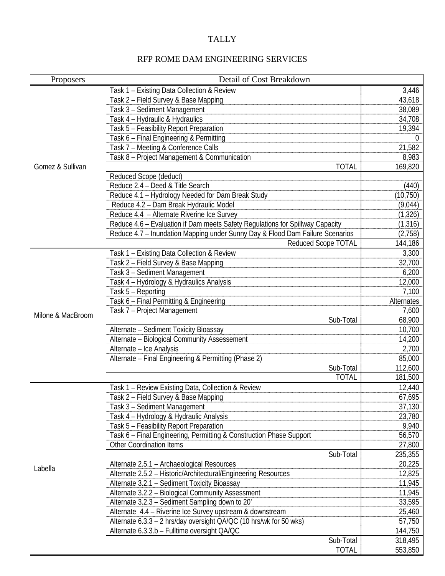## TALLY

| Proposers         | Detail of Cost Breakdown                                                      |            |
|-------------------|-------------------------------------------------------------------------------|------------|
|                   | Task 1 - Existing Data Collection & Review                                    | 3,446      |
|                   | Task 2 - Field Survey & Base Mapping                                          | 43,618     |
|                   | Task 3 - Sediment Management                                                  | 38,089     |
|                   | Task 4 - Hydraulic & Hydraulics                                               | 34,708     |
| Gomez & Sullivan  | Task 5 - Feasibility Report Preparation                                       | 19,394     |
|                   | Task 6 - Final Engineering & Permitting                                       | $\Omega$   |
|                   | Task 7 - Meeting & Conference Calls                                           | 21,582     |
|                   | Task 8 - Project Management & Communication                                   | 8,983      |
|                   | <b>TOTAL</b>                                                                  | 169,820    |
|                   | Reduced Scope (deduct)                                                        |            |
|                   | Reduce 2.4 - Deed & Title Search                                              | (440)      |
|                   | Reduce 4.1 - Hydrology Needed for Dam Break Study                             | (10, 750)  |
|                   | Reduce 4.2 - Dam Break Hydraulic Model                                        | (9,044)    |
|                   | Reduce 4.4 - Alternate Riverine Ice Survey                                    | (1, 326)   |
|                   | Reduce 4.6 - Evaluation if Dam meets Safety Regulations for Spillway Capacity | (1, 316)   |
|                   | Reduce 4.7 - Inundation Mapping under Sunny Day & Flood Dam Failure Scenarios | (2,758)    |
|                   | <b>Reduced Scope TOTAL</b>                                                    | 144,186    |
|                   | Task 1 - Existing Data Collection & Review                                    | 3,300      |
|                   | Task 2 - Field Survey & Base Mapping                                          | 32,700     |
|                   | Task 3 - Sediment Management                                                  | 6,200      |
|                   | Task 4 - Hydrology & Hydraulics Analysis                                      | 12,000     |
|                   | Task 5 - Reporting                                                            | 7,100      |
|                   | Task 6 - Final Permitting & Engineering                                       | Alternates |
| Milone & MacBroom | Task 7 - Project Management                                                   | 7,600      |
|                   | Sub-Total                                                                     | 68,900     |
|                   | Alternate - Sediment Toxicity Bioassay                                        | 10,700     |
|                   | Alternate - Biological Community Assessement                                  | 14,200     |
|                   | Alternate - Ice Analysis                                                      | 2,700      |
|                   | Alternate - Final Engineering & Permitting (Phase 2)                          | 85,000     |
|                   | Sub-Total                                                                     | 112,600    |
|                   | <b>TOTAL</b>                                                                  | 181,500    |
| Labella           | Task 1 - Review Existing Data, Collection & Review                            | 12,440     |
|                   | Task 2 - Field Survey & Base Mapping                                          | 67,695     |
|                   | Task 3 - Sediment Management                                                  | 37,130     |
|                   | Task 4 - Hydrology & Hydraulic Analysis                                       | 23,780     |
|                   | Task 5 - Feasibility Report Preparation                                       | 9,940      |
|                   | Task 6 - Final Engineering, Permitting & Construction Phase Support           | 56,570     |
|                   | <b>Other Coordination Items</b>                                               | 27,800     |
|                   | Sub-Total                                                                     | 235,355    |
|                   | Alternate 2.5.1 - Archaeological Resources                                    | 20,225     |
|                   | Alternate 2.5.2 - Historic/Architectural/Engineering Resources                | 12,825     |
|                   | Alternate 3.2.1 - Sediment Toxicity Bioassay                                  | 11,945     |
|                   | Alternate 3.2.2 - Biological Community Assessment                             | 11,945     |
|                   | Alternate 3.2.3 - Sediment Sampling down to 20'                               | 33,595     |
|                   | Alternate 4.4 - Riverine Ice Survey upstream & downstream                     | 25,460     |
|                   | Alternate 6.3.3 - 2 hrs/day oversight QA/QC (10 hrs/wk for 50 wks)            | 57,750     |
|                   | Alternate 6.3.3.b - Fulltime oversight QA/QC                                  | 144,750    |
|                   | Sub-Total                                                                     | 318,495    |
|                   | <b>TOTAL</b>                                                                  | 553,850    |